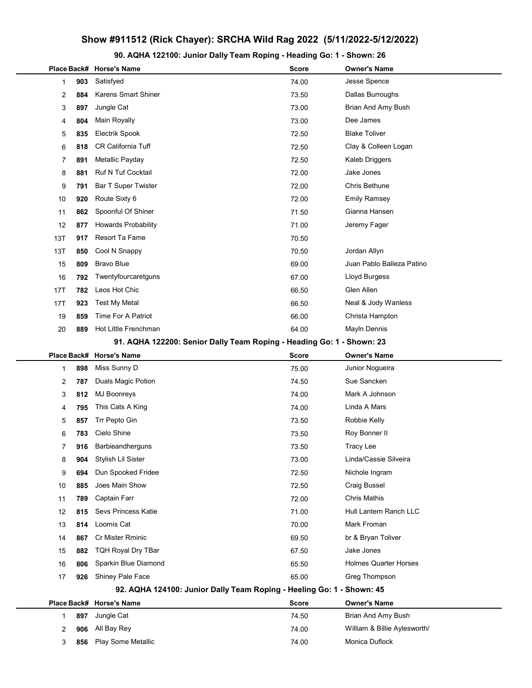## Show #911512 (Rick Chayer): SRCHA Wild Rag 2022 (5/11/2022-5/12/2022)

90. AQHA 122100: Junior Dally Team Roping - Heading Go: 1 - Shown: 26

|                                                                       |     | Place Back# Horse's Name                                              | <b>Score</b> | <b>Owner's Name</b>          |
|-----------------------------------------------------------------------|-----|-----------------------------------------------------------------------|--------------|------------------------------|
| 1                                                                     | 903 | Satisfyed                                                             | 74.00        | Jesse Spence                 |
| 2                                                                     | 884 | <b>Karens Smart Shiner</b>                                            | 73.50        | Dallas Burroughs             |
| 3                                                                     | 897 | Jungle Cat                                                            | 73.00        | Brian And Amy Bush           |
| 4                                                                     | 804 | Main Royally                                                          | 73.00        | Dee James                    |
| 5                                                                     | 835 | <b>Electrik Spook</b>                                                 | 72.50        | <b>Blake Toliver</b>         |
| 6                                                                     | 818 | <b>CR California Tuff</b>                                             | 72.50        | Clay & Colleen Logan         |
| 7                                                                     | 891 | Metallic Payday                                                       | 72.50        | Kaleb Driggers               |
| 8                                                                     | 881 | <b>Ruf N Tuf Cocktail</b>                                             | 72.00        | Jake Jones                   |
| 9                                                                     | 791 | Bar T Super Twister                                                   | 72.00        | Chris Bethune                |
| 10                                                                    | 920 | Route Sixty 6                                                         | 72.00        | <b>Emily Ramsey</b>          |
| 11                                                                    | 862 | Spoonful Of Shiner                                                    | 71.50        | Gianna Hansen                |
| 12                                                                    | 877 | <b>Howards Probability</b>                                            | 71.00        | Jeremy Fager                 |
| 13T                                                                   | 917 | Resort Ta Fame                                                        | 70.50        |                              |
| 13T                                                                   | 850 | Cool N Snappy                                                         | 70.50        | Jordan Allyn                 |
| 15                                                                    | 809 | <b>Bravo Blue</b>                                                     | 69.00        | Juan Pablo Balleza Patino    |
| 16                                                                    | 792 | Twentyfourcaretguns                                                   | 67.00        | Lloyd Burgess                |
| 17T                                                                   | 782 | Leos Hot Chic                                                         | 66.50        | Glen Allen                   |
| 17T                                                                   | 923 | <b>Test My Metal</b>                                                  | 66.50        | Neal & Jody Wanless          |
| 19                                                                    | 859 | Time For A Patriot                                                    | 66.00        | Christa Hampton              |
| 20                                                                    | 889 | Hot Little Frenchman                                                  | 64.00        | Mayln Dennis                 |
| 91. AQHA 122200: Senior Dally Team Roping - Heading Go: 1 - Shown: 23 |     |                                                                       |              |                              |
|                                                                       |     | Place Back# Horse's Name                                              | <b>Score</b> | <b>Owner's Name</b>          |
| 1                                                                     | 898 | Miss Sunny D                                                          | 75.00        | Junior Nogueira              |
| 2                                                                     | 787 | Duals Magic Potion                                                    | 74.50        | Sue Sancken                  |
| 3                                                                     | 812 | <b>MJ Boonreys</b>                                                    | 74.00        | Mark A Johnson               |
| 4                                                                     | 795 | This Cats A King                                                      | 74.00        | Linda A Mars                 |
| 5                                                                     | 857 | Trr Pepto Gin                                                         | 73.50        | Robbie Kelly                 |
| 6                                                                     | 783 | Cielo Shine                                                           | 73.50        | Roy Bonner II                |
| 7                                                                     | 916 | Barbieandherguns                                                      | 73.50        | <b>Tracy Lee</b>             |
| 8                                                                     | 904 | Stylish Lil Sister                                                    | 73.00        | Linda/Cassie Silveira        |
| 9                                                                     | 694 | Dun Spooked Fridee                                                    | 72.50        | Nichole Ingram               |
| 10                                                                    | 885 | Joes Main Show                                                        | 72.50        | <b>Craig Bussel</b>          |
| 11                                                                    | 789 | Captain Farr                                                          | 72.00        | <b>Chris Mathis</b>          |
| 12                                                                    | 815 | Sevs Princess Katie                                                   | 71.00        | Hull Lantern Ranch LLC       |
| 13                                                                    | 814 | Loomis Cat                                                            | 70.00        | Mark Froman                  |
| 14                                                                    | 867 | Cr Mister Rminic                                                      | 69.50        | br & Bryan Toliver           |
| 15                                                                    | 882 | <b>TQH Royal Dry TBar</b>                                             | 67.50        | Jake Jones                   |
| 16                                                                    | 806 | Sparkin Blue Diamond                                                  | 65.50        | <b>Holmes Quarter Horses</b> |
| 17                                                                    | 926 | Shiney Pale Face                                                      | 65.00        | Greg Thompson                |
|                                                                       |     | 92. AQHA 124100: Junior Dally Team Roping - Heeling Go: 1 - Shown: 45 |              |                              |
|                                                                       |     | Place Back# Horse's Name                                              | <b>Score</b> | <b>Owner's Name</b>          |
| 1                                                                     | 897 | Jungle Cat                                                            | 74.50        | Brian And Amy Bush           |
| 2                                                                     | 906 | All Bay Rey                                                           | 74.00        | William & Billie Aylesworth/ |
| 3                                                                     | 856 | Play Some Metallic                                                    | 74.00        | Monica Duflock               |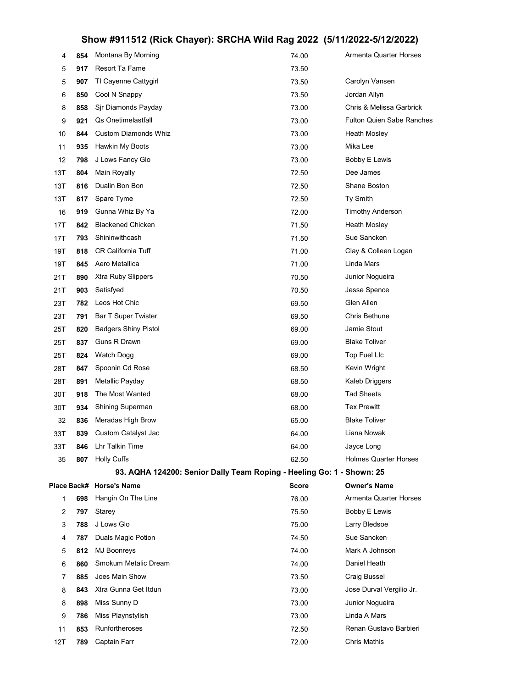## Show #911512 (Rick Chayer): SRCHA Wild Rag 2022 (5/11/2022-5/12/2022)

| 4   | 854 | Montana By Morning                                                    | 74.00        | Armenta Quarter Horses           |
|-----|-----|-----------------------------------------------------------------------|--------------|----------------------------------|
| 5   | 917 | Resort Ta Fame                                                        | 73.50        |                                  |
| 5   | 907 | TI Cayenne Cattygirl                                                  | 73.50        | Carolyn Vansen                   |
| 6   | 850 | Cool N Snappy                                                         | 73.50        | Jordan Allyn                     |
| 8   | 858 | Sjr Diamonds Payday                                                   | 73.00        | Chris & Melissa Garbrick         |
| 9   | 921 | Qs Onetimelastfall                                                    | 73.00        | <b>Fulton Quien Sabe Ranches</b> |
| 10  | 844 | <b>Custom Diamonds Whiz</b>                                           | 73.00        | Heath Mosley                     |
| 11  | 935 | Hawkin My Boots                                                       | 73.00        | Mika Lee                         |
| 12  | 798 | J Lows Fancy Glo                                                      | 73.00        | Bobby E Lewis                    |
| 13T | 804 | Main Royally                                                          | 72.50        | Dee James                        |
| 13T | 816 | Dualin Bon Bon                                                        | 72.50        | Shane Boston                     |
| 13T | 817 | Spare Tyme                                                            | 72.50        | Ty Smith                         |
| 16  | 919 | Gunna Whiz By Ya                                                      | 72.00        | <b>Timothy Anderson</b>          |
| 17T | 842 | <b>Blackened Chicken</b>                                              | 71.50        | Heath Mosley                     |
| 17T | 793 | Shininwithcash                                                        | 71.50        | Sue Sancken                      |
| 19T | 818 | <b>CR California Tuff</b>                                             | 71.00        | Clay & Colleen Logan             |
| 19T | 845 | Aero Metallica                                                        | 71.00        | Linda Mars                       |
| 21T | 890 | Xtra Ruby Slippers                                                    | 70.50        | Junior Nogueira                  |
| 21T | 903 | Satisfyed                                                             | 70.50        | Jesse Spence                     |
| 23T | 782 | Leos Hot Chic                                                         | 69.50        | Glen Allen                       |
| 23T | 791 | Bar T Super Twister                                                   | 69.50        | Chris Bethune                    |
| 25T | 820 | <b>Badgers Shiny Pistol</b>                                           | 69.00        | Jamie Stout                      |
| 25T | 837 | Guns R Drawn                                                          | 69.00        | Blake Toliver                    |
| 25T | 824 | Watch Dogg                                                            | 69.00        | Top Fuel Llc                     |
| 28T | 847 | Spoonin Cd Rose                                                       | 68.50        | Kevin Wright                     |
| 28T | 891 | Metallic Payday                                                       | 68.50        | Kaleb Driggers                   |
| 30T | 918 | The Most Wanted                                                       | 68.00        | <b>Tad Sheets</b>                |
| 30T | 934 | Shining Superman                                                      | 68.00        | Tex Prewitt                      |
| 32  | 836 | Meradas High Brow                                                     | 65.00        | Blake Toliver                    |
| 33T | 839 | Custom Catalyst Jac                                                   | 64.00        | Liana Nowak                      |
| 33T | 846 | <b>Lhr Talkin Time</b>                                                | 64.00        | Jayce Long                       |
| 35  | 807 | <b>Holly Cuffs</b>                                                    | 62.50        | Holmes Quarter Horses            |
|     |     | 93. AQHA 124200: Senior Dally Team Roping - Heeling Go: 1 - Shown: 25 |              |                                  |
|     |     | Place Back# Horse's Name                                              | <b>Score</b> | <b>Owner's Name</b>              |
| 1   | 698 | Hangin On The Line                                                    | 76.00        | Armenta Quarter Horses           |
| 2   | 797 | Starey                                                                | 75.50        | Bobby E Lewis                    |
| 3   | 788 | J Lows Glo                                                            | 75.00        | Larry Bledsoe                    |
| 4   | 787 | Duals Magic Potion                                                    | 74.50        | Sue Sancken                      |
| 5   | 812 | <b>MJ Boonreys</b>                                                    | 74.00        | Mark A Johnson                   |
| 6   | 860 | Smokum Metalic Dream                                                  | 74.00        | Daniel Heath                     |
| 7   | 885 | Joes Main Show                                                        | 73.50        | Craig Bussel                     |
| 8   | 843 | Xtra Gunna Get Itdun                                                  | 73.00        | Jose Durval Vergilio Jr.         |
| 8   | 898 | Miss Sunny D                                                          | 73.00        | Junior Nogueira                  |
| 9   | 786 | Miss Playnstylish                                                     | 73.00        | Linda A Mars                     |

11 853 Runfortheroses and the material control of the 72.50 Renan Gustavo Barbieri

12T 789 Captain Farr 72.00 Chris Mathis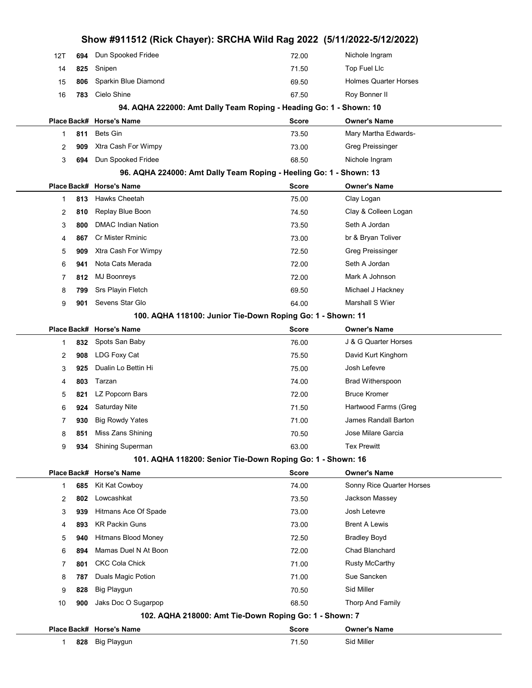| 1<br>2<br>3<br>4<br>5<br>6<br>7<br>8<br>9<br>10 | 924<br>930<br>851<br>934<br>685<br>802<br>939<br>893<br>940<br>894<br>801<br>787<br>828<br>900 | Saturday Nite<br><b>Big Rowdy Yates</b><br>Miss Zans Shining<br>Shining Superman<br>Place Back# Horse's Name<br>Kit Kat Cowboy<br>Lowcashkat<br>Hitmans Ace Of Spade<br><b>KR Packin Guns</b><br><b>Hitmans Blood Money</b><br>Mamas Duel N At Boon<br><b>CKC Cola Chick</b><br>Duals Magic Potion<br>Big Playgun<br>Jaks Doc O Sugarpop<br>Place Back# Horse's Name | 71.50<br>71.00<br>70.50<br>63.00<br>101. AQHA 118200: Senior Tie-Down Roping Go: 1 - Shown: 16<br><b>Score</b><br>74.00<br>73.50<br>73.00<br>73.00<br>72.50<br>72.00<br>71.00<br>71.00<br>70.50<br>68.50<br>102. AQHA 218000: Amt Tie-Down Roping Go: 1 - Shown: 7<br><b>Score</b> | Hartwood Farms (Greg<br><b>James Randall Barton</b><br>Jose Milare Garcia<br><b>Tex Prewitt</b><br><b>Owner's Name</b><br>Sonny Rice Quarter Horses<br>Jackson Massey<br>Josh Letevre<br><b>Brent A Lewis</b><br><b>Bradley Boyd</b><br><b>Chad Blanchard</b><br><b>Rusty McCarthy</b><br>Sue Sancken<br>Sid Miller<br>Thorp And Family<br><b>Owner's Name</b> |  |
|-------------------------------------------------|------------------------------------------------------------------------------------------------|----------------------------------------------------------------------------------------------------------------------------------------------------------------------------------------------------------------------------------------------------------------------------------------------------------------------------------------------------------------------|------------------------------------------------------------------------------------------------------------------------------------------------------------------------------------------------------------------------------------------------------------------------------------|----------------------------------------------------------------------------------------------------------------------------------------------------------------------------------------------------------------------------------------------------------------------------------------------------------------------------------------------------------------|--|
|                                                 |                                                                                                |                                                                                                                                                                                                                                                                                                                                                                      |                                                                                                                                                                                                                                                                                    |                                                                                                                                                                                                                                                                                                                                                                |  |
|                                                 |                                                                                                |                                                                                                                                                                                                                                                                                                                                                                      |                                                                                                                                                                                                                                                                                    |                                                                                                                                                                                                                                                                                                                                                                |  |
|                                                 |                                                                                                |                                                                                                                                                                                                                                                                                                                                                                      |                                                                                                                                                                                                                                                                                    |                                                                                                                                                                                                                                                                                                                                                                |  |
|                                                 |                                                                                                |                                                                                                                                                                                                                                                                                                                                                                      |                                                                                                                                                                                                                                                                                    |                                                                                                                                                                                                                                                                                                                                                                |  |
|                                                 |                                                                                                |                                                                                                                                                                                                                                                                                                                                                                      |                                                                                                                                                                                                                                                                                    |                                                                                                                                                                                                                                                                                                                                                                |  |
|                                                 |                                                                                                |                                                                                                                                                                                                                                                                                                                                                                      |                                                                                                                                                                                                                                                                                    |                                                                                                                                                                                                                                                                                                                                                                |  |
|                                                 |                                                                                                |                                                                                                                                                                                                                                                                                                                                                                      |                                                                                                                                                                                                                                                                                    |                                                                                                                                                                                                                                                                                                                                                                |  |
|                                                 |                                                                                                |                                                                                                                                                                                                                                                                                                                                                                      |                                                                                                                                                                                                                                                                                    |                                                                                                                                                                                                                                                                                                                                                                |  |
|                                                 |                                                                                                |                                                                                                                                                                                                                                                                                                                                                                      |                                                                                                                                                                                                                                                                                    |                                                                                                                                                                                                                                                                                                                                                                |  |
|                                                 |                                                                                                |                                                                                                                                                                                                                                                                                                                                                                      |                                                                                                                                                                                                                                                                                    |                                                                                                                                                                                                                                                                                                                                                                |  |
|                                                 |                                                                                                |                                                                                                                                                                                                                                                                                                                                                                      |                                                                                                                                                                                                                                                                                    |                                                                                                                                                                                                                                                                                                                                                                |  |
|                                                 |                                                                                                |                                                                                                                                                                                                                                                                                                                                                                      |                                                                                                                                                                                                                                                                                    |                                                                                                                                                                                                                                                                                                                                                                |  |
|                                                 |                                                                                                |                                                                                                                                                                                                                                                                                                                                                                      |                                                                                                                                                                                                                                                                                    |                                                                                                                                                                                                                                                                                                                                                                |  |
|                                                 |                                                                                                |                                                                                                                                                                                                                                                                                                                                                                      |                                                                                                                                                                                                                                                                                    |                                                                                                                                                                                                                                                                                                                                                                |  |
| 9                                               |                                                                                                |                                                                                                                                                                                                                                                                                                                                                                      |                                                                                                                                                                                                                                                                                    |                                                                                                                                                                                                                                                                                                                                                                |  |
| 8                                               |                                                                                                |                                                                                                                                                                                                                                                                                                                                                                      |                                                                                                                                                                                                                                                                                    |                                                                                                                                                                                                                                                                                                                                                                |  |
| 7                                               |                                                                                                |                                                                                                                                                                                                                                                                                                                                                                      |                                                                                                                                                                                                                                                                                    |                                                                                                                                                                                                                                                                                                                                                                |  |
| 6                                               |                                                                                                |                                                                                                                                                                                                                                                                                                                                                                      |                                                                                                                                                                                                                                                                                    |                                                                                                                                                                                                                                                                                                                                                                |  |
| 5                                               | 821                                                                                            | LZ Popcorn Bars                                                                                                                                                                                                                                                                                                                                                      | 72.00                                                                                                                                                                                                                                                                              | <b>Bruce Kromer</b>                                                                                                                                                                                                                                                                                                                                            |  |
| 4                                               | 803                                                                                            | Tarzan                                                                                                                                                                                                                                                                                                                                                               | 74.00                                                                                                                                                                                                                                                                              | <b>Brad Witherspoon</b>                                                                                                                                                                                                                                                                                                                                        |  |
| 3                                               | 925                                                                                            | Dualin Lo Bettin Hi                                                                                                                                                                                                                                                                                                                                                  | 75.00                                                                                                                                                                                                                                                                              | Josh Lefevre                                                                                                                                                                                                                                                                                                                                                   |  |
| 2                                               | 908                                                                                            | LDG Foxy Cat                                                                                                                                                                                                                                                                                                                                                         | 75.50                                                                                                                                                                                                                                                                              | David Kurt Kinghorn                                                                                                                                                                                                                                                                                                                                            |  |
| 1                                               | 832                                                                                            | Spots San Baby                                                                                                                                                                                                                                                                                                                                                       | 76.00                                                                                                                                                                                                                                                                              | J & G Quarter Horses                                                                                                                                                                                                                                                                                                                                           |  |
|                                                 |                                                                                                | Place Back# Horse's Name                                                                                                                                                                                                                                                                                                                                             | <b>Score</b>                                                                                                                                                                                                                                                                       | <b>Owner's Name</b>                                                                                                                                                                                                                                                                                                                                            |  |
|                                                 |                                                                                                |                                                                                                                                                                                                                                                                                                                                                                      | 100. AQHA 118100: Junior Tie-Down Roping Go: 1 - Shown: 11                                                                                                                                                                                                                         |                                                                                                                                                                                                                                                                                                                                                                |  |
| 9                                               | 901                                                                                            | Sevens Star Glo                                                                                                                                                                                                                                                                                                                                                      | 64.00                                                                                                                                                                                                                                                                              | Marshall S Wier                                                                                                                                                                                                                                                                                                                                                |  |
| 8                                               | 799                                                                                            | Srs Playin Fletch                                                                                                                                                                                                                                                                                                                                                    | 69.50                                                                                                                                                                                                                                                                              | Michael J Hackney                                                                                                                                                                                                                                                                                                                                              |  |
| 7                                               | 812                                                                                            | <b>MJ Boonreys</b>                                                                                                                                                                                                                                                                                                                                                   | 72.00                                                                                                                                                                                                                                                                              | Mark A Johnson                                                                                                                                                                                                                                                                                                                                                 |  |
| 6                                               | 941                                                                                            | Nota Cats Merada                                                                                                                                                                                                                                                                                                                                                     | 72.00                                                                                                                                                                                                                                                                              | Seth A Jordan                                                                                                                                                                                                                                                                                                                                                  |  |
| 5                                               | 909                                                                                            | Xtra Cash For Wimpy                                                                                                                                                                                                                                                                                                                                                  | 72.50                                                                                                                                                                                                                                                                              | Greg Preissinger                                                                                                                                                                                                                                                                                                                                               |  |
| 4                                               | 867                                                                                            | Cr Mister Rminic                                                                                                                                                                                                                                                                                                                                                     | 73.00                                                                                                                                                                                                                                                                              | br & Bryan Toliver                                                                                                                                                                                                                                                                                                                                             |  |
| 3                                               | 800                                                                                            | <b>DMAC Indian Nation</b>                                                                                                                                                                                                                                                                                                                                            | 73.50                                                                                                                                                                                                                                                                              | Seth A Jordan                                                                                                                                                                                                                                                                                                                                                  |  |
| 2                                               | 810                                                                                            | Replay Blue Boon                                                                                                                                                                                                                                                                                                                                                     | 74.50                                                                                                                                                                                                                                                                              | Clay & Colleen Logan                                                                                                                                                                                                                                                                                                                                           |  |
| 1                                               | 813                                                                                            | Hawks Cheetah                                                                                                                                                                                                                                                                                                                                                        | 75.00                                                                                                                                                                                                                                                                              | Clay Logan                                                                                                                                                                                                                                                                                                                                                     |  |
|                                                 |                                                                                                | Place Back# Horse's Name                                                                                                                                                                                                                                                                                                                                             | Score                                                                                                                                                                                                                                                                              | <b>Owner's Name</b>                                                                                                                                                                                                                                                                                                                                            |  |
|                                                 |                                                                                                | 96. AQHA 224000: Amt Dally Team Roping - Heeling Go: 1 - Shown: 13                                                                                                                                                                                                                                                                                                   |                                                                                                                                                                                                                                                                                    |                                                                                                                                                                                                                                                                                                                                                                |  |
| 3                                               | 694                                                                                            | Dun Spooked Fridee                                                                                                                                                                                                                                                                                                                                                   | 68.50                                                                                                                                                                                                                                                                              | Nichole Ingram                                                                                                                                                                                                                                                                                                                                                 |  |
| 2                                               | 909                                                                                            | Xtra Cash For Wimpy                                                                                                                                                                                                                                                                                                                                                  | 73.00                                                                                                                                                                                                                                                                              | Greg Preissinger                                                                                                                                                                                                                                                                                                                                               |  |
| 1                                               | 811                                                                                            |                                                                                                                                                                                                                                                                                                                                                                      | 73.50                                                                                                                                                                                                                                                                              |                                                                                                                                                                                                                                                                                                                                                                |  |
|                                                 |                                                                                                | Bets Gin                                                                                                                                                                                                                                                                                                                                                             | <b>Score</b>                                                                                                                                                                                                                                                                       | Mary Martha Edwards-                                                                                                                                                                                                                                                                                                                                           |  |
|                                                 |                                                                                                | Place Back# Horse's Name                                                                                                                                                                                                                                                                                                                                             |                                                                                                                                                                                                                                                                                    | <b>Owner's Name</b>                                                                                                                                                                                                                                                                                                                                            |  |
|                                                 |                                                                                                | 94. AQHA 222000: Amt Dally Team Roping - Heading Go: 1 - Shown: 10                                                                                                                                                                                                                                                                                                   |                                                                                                                                                                                                                                                                                    |                                                                                                                                                                                                                                                                                                                                                                |  |
| 15<br>16                                        | 806<br>783                                                                                     | Cielo Shine                                                                                                                                                                                                                                                                                                                                                          | 67.50                                                                                                                                                                                                                                                                              | Roy Bonner II                                                                                                                                                                                                                                                                                                                                                  |  |
| 14                                              | 825                                                                                            | Sparkin Blue Diamond                                                                                                                                                                                                                                                                                                                                                 | 69.50                                                                                                                                                                                                                                                                              | <b>Holmes Quarter Horses</b>                                                                                                                                                                                                                                                                                                                                   |  |
| 12T                                             | 694                                                                                            | Snipen                                                                                                                                                                                                                                                                                                                                                               | 71.50                                                                                                                                                                                                                                                                              | Top Fuel Llc                                                                                                                                                                                                                                                                                                                                                   |  |
|                                                 |                                                                                                | Show #911512 (Rick Chayer): SRCHA Wild Rag 2022 (5/11/2022-5/12/2022)<br>Dun Spooked Fridee                                                                                                                                                                                                                                                                          | 72.00                                                                                                                                                                                                                                                                              | Nichole Ingram                                                                                                                                                                                                                                                                                                                                                 |  |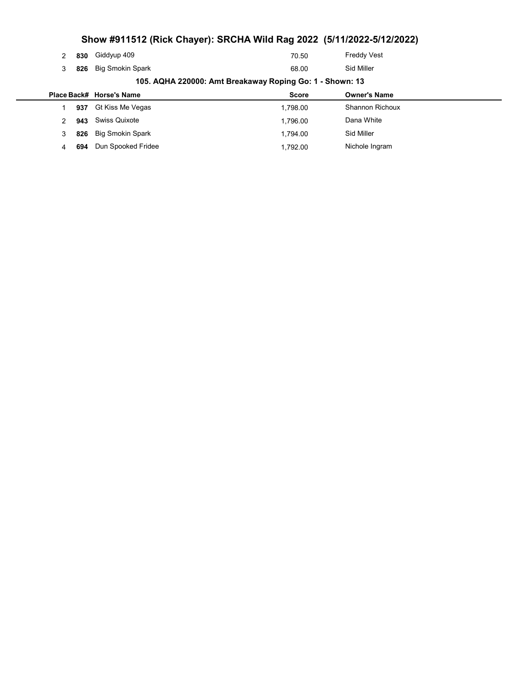|   |     |                          | Show #911512 (Rick Chayer): SRCHA Wild Rag 2022 (5/11/2022-5/12/2022) |                        |
|---|-----|--------------------------|-----------------------------------------------------------------------|------------------------|
| 2 | 830 | Giddyup 409              | 70.50                                                                 | <b>Freddy Vest</b>     |
| 3 | 826 | <b>Big Smokin Spark</b>  | 68.00                                                                 | Sid Miller             |
|   |     |                          | 105. AQHA 220000: Amt Breakaway Roping Go: 1 - Shown: 13              |                        |
|   |     | Place Back# Horse's Name | <b>Score</b>                                                          | <b>Owner's Name</b>    |
|   | 937 | Gt Kiss Me Vegas         | 1,798.00                                                              | <b>Shannon Richoux</b> |
|   | 943 | Swiss Quixote            | 1,796.00                                                              | Dana White             |
| 3 | 826 | <b>Big Smokin Spark</b>  | 1,794.00                                                              | Sid Miller             |
|   |     |                          |                                                                       |                        |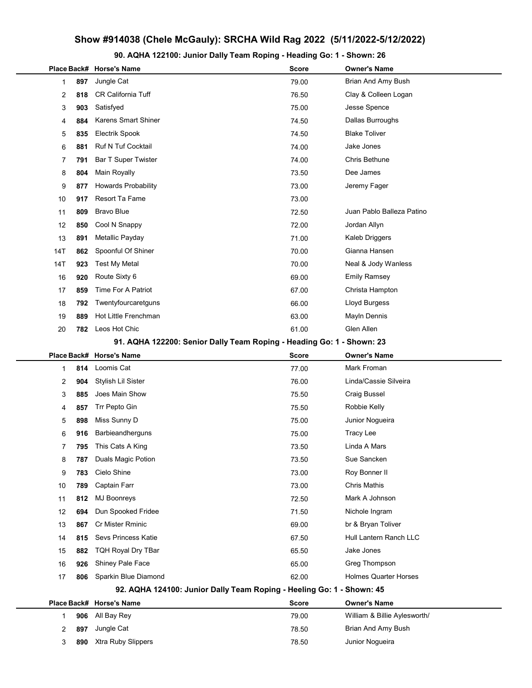## Show #914038 (Chele McGauly): SRCHA Wild Rag 2022 (5/11/2022-5/12/2022)

90. AQHA 122100: Junior Dally Team Roping - Heading Go: 1 - Shown: 26

|     |     | Place Back# Horse's Name                                              | <b>Score</b> | <b>Owner's Name</b>          |
|-----|-----|-----------------------------------------------------------------------|--------------|------------------------------|
| 1   | 897 | Jungle Cat                                                            | 79.00        | Brian And Amy Bush           |
| 2   | 818 | <b>CR California Tuff</b>                                             | 76.50        | Clay & Colleen Logan         |
| 3   | 903 | Satisfyed                                                             | 75.00        | Jesse Spence                 |
| 4   | 884 | <b>Karens Smart Shiner</b>                                            | 74.50        | Dallas Burroughs             |
| 5   | 835 | Electrik Spook                                                        | 74.50        | <b>Blake Toliver</b>         |
| 6   | 881 | <b>Ruf N Tuf Cocktail</b>                                             | 74.00        | Jake Jones                   |
| 7   | 791 | <b>Bar T Super Twister</b>                                            | 74.00        | Chris Bethune                |
| 8   | 804 | <b>Main Royally</b>                                                   | 73.50        | Dee James                    |
| 9   | 877 | <b>Howards Probability</b>                                            | 73.00        | Jeremy Fager                 |
| 10  | 917 | Resort Ta Fame                                                        | 73.00        |                              |
| 11  | 809 | <b>Bravo Blue</b>                                                     | 72.50        | Juan Pablo Balleza Patino    |
| 12  | 850 | Cool N Snappy                                                         | 72.00        | Jordan Allyn                 |
| 13  | 891 | Metallic Payday                                                       | 71.00        | Kaleb Driggers               |
| 14T | 862 | Spoonful Of Shiner                                                    | 70.00        | Gianna Hansen                |
| 14T | 923 | Test My Metal                                                         | 70.00        | Neal & Jody Wanless          |
| 16  | 920 | Route Sixty 6                                                         | 69.00        | <b>Emily Ramsey</b>          |
| 17  | 859 | Time For A Patriot                                                    | 67.00        | Christa Hampton              |
| 18  | 792 | Twentyfourcaretguns                                                   | 66.00        | Lloyd Burgess                |
| 19  | 889 | Hot Little Frenchman                                                  | 63.00        | Mayln Dennis                 |
| 20  | 782 | Leos Hot Chic                                                         | 61.00        | Glen Allen                   |
|     |     | 91. AQHA 122200: Senior Dally Team Roping - Heading Go: 1 - Shown: 23 |              |                              |
|     |     | Place Back# Horse's Name                                              | <b>Score</b> | <b>Owner's Name</b>          |
| 1   | 814 | Loomis Cat                                                            | 77.00        | Mark Froman                  |
| 2   | 904 | Stylish Lil Sister                                                    | 76.00        | Linda/Cassie Silveira        |
| 3   | 885 | Joes Main Show                                                        | 75.50        | Craig Bussel                 |
| 4   | 857 | Trr Pepto Gin                                                         | 75.50        | Robbie Kelly                 |
| 5   | 898 | Miss Sunny D                                                          | 75.00        | Junior Nogueira              |
| 6   | 916 | Barbieandherguns                                                      | 75.00        | <b>Tracy Lee</b>             |
| 7   | 795 | This Cats A King                                                      | 73.50        | Linda A Mars                 |
| 8   | 787 | Duals Magic Potion                                                    | 73.50        | Sue Sancken                  |
| 9   | 783 | Cielo Shine                                                           | 73.00        | Roy Bonner II                |
| 10  | 789 | Captain Farr                                                          | 73.00        | <b>Chris Mathis</b>          |
| 11  | 812 | <b>MJ Boonreys</b>                                                    | 72.50        | Mark A Johnson               |
| 12  | 694 | Dun Spooked Fridee                                                    | 71.50        | Nichole Ingram               |
| 13  | 867 | Cr Mister Rminic                                                      | 69.00        | br & Bryan Toliver           |
| 14  | 815 | <b>Sevs Princess Katie</b>                                            | 67.50        | Hull Lantern Ranch LLC       |
| 15  | 882 | <b>TQH Royal Dry TBar</b>                                             | 65.50        | Jake Jones                   |
| 16  | 926 | Shiney Pale Face                                                      | 65.00        | Greg Thompson                |
| 17  | 806 | Sparkin Blue Diamond                                                  | 62.00        | <b>Holmes Quarter Horses</b> |
|     |     | 92. AQHA 124100: Junior Dally Team Roping - Heeling Go: 1 - Shown: 45 |              |                              |
|     |     | Place Back# Horse's Name                                              | <b>Score</b> | <b>Owner's Name</b>          |
| 1   | 906 | All Bay Rey                                                           | 79.00        | William & Billie Aylesworth/ |
| 2   | 897 | Jungle Cat                                                            | 78.50        | Brian And Amy Bush           |
| 3   | 890 | Xtra Ruby Slippers                                                    | 78.50        | Junior Nogueira              |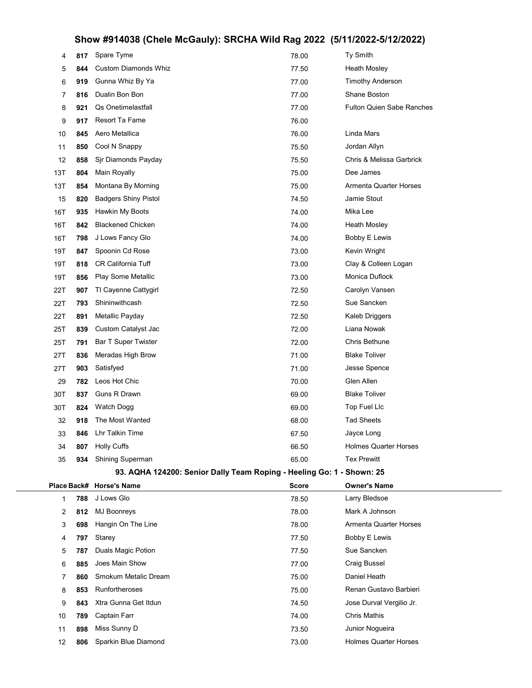# Show #914038 (Chele McGauly): SRCHA Wild Rag 2022 (5/11/2022-5/12/2022)

| 4   | 817 | Spare Tyme                                                            | 78.00        | Ty Smith                     |
|-----|-----|-----------------------------------------------------------------------|--------------|------------------------------|
| 5   | 844 | Custom Diamonds Whiz                                                  | 77.50        | <b>Heath Mosley</b>          |
| 6   | 919 | Gunna Whiz By Ya                                                      | 77.00        | <b>Timothy Anderson</b>      |
| 7   | 816 | Dualin Bon Bon                                                        | 77.00        | <b>Shane Boston</b>          |
| 8   | 921 | Qs Onetimelastfall                                                    | 77.00        | Fulton Quien Sabe Ranches    |
| 9   | 917 | Resort Ta Fame                                                        | 76.00        |                              |
| 10  | 845 | Aero Metallica                                                        | 76.00        | Linda Mars                   |
| 11  | 850 | Cool N Snappy                                                         | 75.50        | Jordan Allyn                 |
| 12  | 858 | Sjr Diamonds Payday                                                   | 75.50        | Chris & Melissa Garbrick     |
| 13T | 804 | Main Royally                                                          | 75.00        | Dee James                    |
| 13T | 854 | Montana By Morning                                                    | 75.00        | Armenta Quarter Horses       |
| 15  | 820 | <b>Badgers Shiny Pistol</b>                                           | 74.50        | Jamie Stout                  |
| 16T | 935 | Hawkin My Boots                                                       | 74.00        | Mika Lee                     |
| 16T | 842 | <b>Blackened Chicken</b>                                              | 74.00        | <b>Heath Mosley</b>          |
| 16T | 798 | J Lows Fancy Glo                                                      | 74.00        | Bobby E Lewis                |
| 19T | 847 | Spoonin Cd Rose                                                       | 73.00        | Kevin Wright                 |
| 19T | 818 | CR California Tuff                                                    | 73.00        | Clay & Colleen Logan         |
| 19T | 856 | Play Some Metallic                                                    | 73.00        | Monica Duflock               |
| 22T | 907 | TI Cayenne Cattygirl                                                  | 72.50        | Carolyn Vansen               |
| 22T | 793 | Shininwithcash                                                        | 72.50        | Sue Sancken                  |
| 22T | 891 | Metallic Payday                                                       | 72.50        | Kaleb Driggers               |
| 25T | 839 | Custom Catalyst Jac                                                   | 72.00        | Liana Nowak                  |
| 25T | 791 | <b>Bar T Super Twister</b>                                            | 72.00        | Chris Bethune                |
| 27T | 836 | Meradas High Brow                                                     | 71.00        | <b>Blake Toliver</b>         |
| 27T | 903 | Satisfyed                                                             | 71.00        | Jesse Spence                 |
| 29  | 782 | Leos Hot Chic                                                         | 70.00        | Glen Allen                   |
| 30T | 837 | Guns R Drawn                                                          | 69.00        | <b>Blake Toliver</b>         |
| 30T | 824 | Watch Dogg                                                            | 69.00        | Top Fuel Llc                 |
| 32  | 918 | The Most Wanted                                                       | 68.00        | <b>Tad Sheets</b>            |
| 33  | 846 | Lhr Talkin Time                                                       | 67.50        | Jayce Long                   |
| 34  | 807 | <b>Holly Cuffs</b>                                                    | 66.50        | <b>Holmes Quarter Horses</b> |
| 35  | 934 | <b>Shining Superman</b>                                               | 65.00        | <b>Tex Prewitt</b>           |
|     |     | 93. AQHA 124200: Senior Dally Team Roping - Heeling Go: 1 - Shown: 25 |              |                              |
|     |     | Place Back# Horse's Name                                              | <b>Score</b> | <b>Owner's Name</b>          |
| 1   | 788 | J Lows Glo                                                            | 78.50        | Larry Bledsoe                |
| 2   | 812 | <b>MJ Boonreys</b>                                                    | 78.00        | Mark A Johnson               |
| 3   | 698 | Hangin On The Line                                                    | 78.00        | Armenta Quarter Horses       |
| 4   | 797 | Starey                                                                | 77.50        | Bobby E Lewis                |
| 5   | 787 | Duals Magic Potion                                                    | 77.50        | Sue Sancken                  |
| 6   | 885 | Joes Main Show                                                        | 77.00        | <b>Craig Bussel</b>          |
| 7   | 860 | Smokum Metalic Dream                                                  | 75.00        | Daniel Heath                 |
| 8   | 853 | Runfortheroses                                                        | 75.00        | Renan Gustavo Barbieri       |
| 9   | 843 | Xtra Gunna Get Itdun                                                  | 74.50        | Jose Durval Vergilio Jr.     |
| 10  | 789 | Captain Farr                                                          | 74.00        | Chris Mathis                 |
| 11  | 898 | Miss Sunny D                                                          | 73.50        | Junior Nogueira              |
| 12  | 806 | Sparkin Blue Diamond                                                  | 73.00        | <b>Holmes Quarter Horses</b> |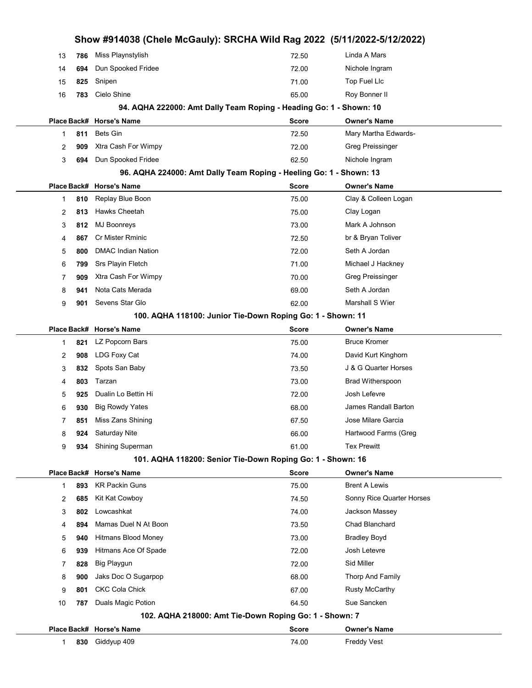|    |     |                           | Show #914038 (Chele McGauly): SRCHA Wild Rag 2022 (5/11/2022-5/12/2022) |                           |
|----|-----|---------------------------|-------------------------------------------------------------------------|---------------------------|
| 13 | 786 | Miss Playnstylish         | 72.50                                                                   | Linda A Mars              |
| 14 | 694 | Dun Spooked Fridee        | 72.00                                                                   | Nichole Ingram            |
| 15 | 825 | Snipen                    | 71.00                                                                   | Top Fuel Llc              |
| 16 | 783 | Cielo Shine               | 65.00                                                                   | Roy Bonner II             |
|    |     |                           | 94. AQHA 222000: Amt Dally Team Roping - Heading Go: 1 - Shown: 10      |                           |
|    |     | Place Back# Horse's Name  | Score                                                                   | <b>Owner's Name</b>       |
| 1  | 811 | <b>Bets Gin</b>           | 72.50                                                                   | Mary Martha Edwards-      |
| 2  | 909 | Xtra Cash For Wimpy       | 72.00                                                                   | Greg Preissinger          |
| 3  | 694 | Dun Spooked Fridee        | 62.50                                                                   | Nichole Ingram            |
|    |     |                           | 96. AQHA 224000: Amt Dally Team Roping - Heeling Go: 1 - Shown: 13      |                           |
|    |     | Place Back# Horse's Name  | Score                                                                   | <b>Owner's Name</b>       |
| 1  | 810 | Replay Blue Boon          | 75.00                                                                   | Clay & Colleen Logan      |
| 2  | 813 | Hawks Cheetah             | 75.00                                                                   | Clay Logan                |
| 3  | 812 | <b>MJ Boonreys</b>        | 73.00                                                                   | Mark A Johnson            |
| 4  | 867 | <b>Cr Mister Rminic</b>   | 72.50                                                                   | br & Bryan Toliver        |
| 5  | 800 | <b>DMAC Indian Nation</b> | 72.00                                                                   | Seth A Jordan             |
| 6  | 799 | Srs Playin Fletch         | 71.00                                                                   | Michael J Hackney         |
| 7  | 909 | Xtra Cash For Wimpy       | 70.00                                                                   | Greg Preissinger          |
| 8  | 941 | Nota Cats Merada          | 69.00                                                                   | Seth A Jordan             |
| 9  | 901 | Sevens Star Glo           | 62.00                                                                   | Marshall S Wier           |
|    |     |                           | 100. AQHA 118100: Junior Tie-Down Roping Go: 1 - Shown: 11              |                           |
|    |     | Place Back# Horse's Name  | Score                                                                   | <b>Owner's Name</b>       |
| 1  | 821 | LZ Popcorn Bars           | 75.00                                                                   | <b>Bruce Kromer</b>       |
| 2  | 908 | LDG Foxy Cat              | 74.00                                                                   | David Kurt Kinghorn       |
| 3  | 832 | Spots San Baby            | 73.50                                                                   | J & G Quarter Horses      |
| 4  | 803 | Tarzan                    | 73.00                                                                   | <b>Brad Witherspoon</b>   |
| 5  | 925 | Dualin Lo Bettin Hi       | 72.00                                                                   | Josh Lefevre              |
| 6  | 930 | <b>Big Rowdy Yates</b>    | 68.00                                                                   | James Randall Barton      |
| 7  | 851 | Miss Zans Shining         | 67.50                                                                   | Jose Milare Garcia        |
| 8  | 924 | Saturday Nite             | 66.00                                                                   | Hartwood Farms (Greg      |
| 9  | 934 | Shining Superman          | 61.00                                                                   | <b>Tex Prewitt</b>        |
|    |     |                           | 101. AQHA 118200: Senior Tie-Down Roping Go: 1 - Shown: 16              |                           |
|    |     | Place Back# Horse's Name  | Score                                                                   | <b>Owner's Name</b>       |
| 1  | 893 | <b>KR Packin Guns</b>     | 75.00                                                                   | <b>Brent A Lewis</b>      |
| 2  | 685 | Kit Kat Cowboy            | 74.50                                                                   | Sonny Rice Quarter Horses |
| 3  | 802 | Lowcashkat                | 74.00                                                                   | Jackson Massey            |
| 4  | 894 | Mamas Duel N At Boon      | 73.50                                                                   | Chad Blanchard            |
| 5  | 940 | Hitmans Blood Money       | 73.00                                                                   | <b>Bradley Boyd</b>       |
| 6  | 939 | Hitmans Ace Of Spade      | 72.00                                                                   | Josh Letevre              |
| 7  | 828 | <b>Big Playgun</b>        | 72.00                                                                   | Sid Miller                |
| 8  | 900 | Jaks Doc O Sugarpop       | 68.00                                                                   | Thorp And Family          |
| 9  | 801 | <b>CKC Cola Chick</b>     | 67.00                                                                   | <b>Rusty McCarthy</b>     |
| 10 | 787 | Duals Magic Potion        | 64.50                                                                   | Sue Sancken               |
|    |     |                           | 102. AQHA 218000: Amt Tie-Down Roping Go: 1 - Shown: 7                  |                           |
|    |     | Place Back# Horse's Name  | Score                                                                   | <b>Owner's Name</b>       |
| 1  | 830 | Giddyup 409               | 74.00                                                                   | Freddy Vest               |